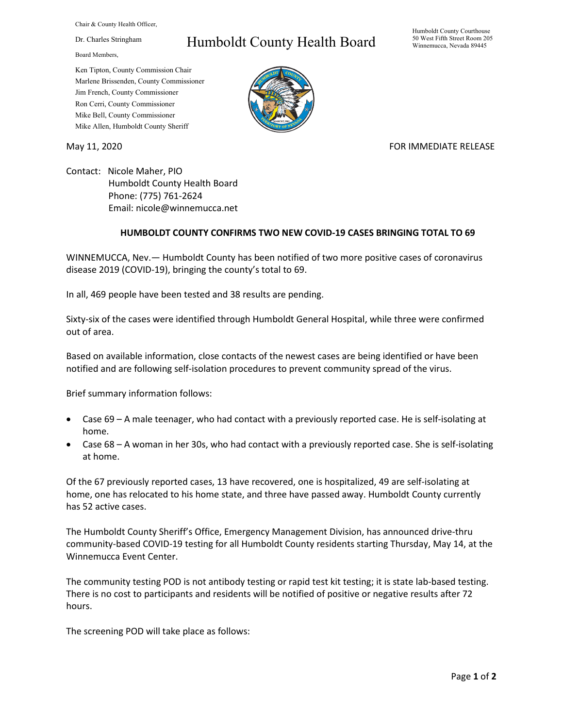Chair & County Health Officer,

Dr. Charles Stringham

Board Members,

## Humboldt County Health Board

Humboldt County Courthouse 50 West Fifth Street Room 205 Winnemucca, Nevada 89445

Ken Tipton, County Commission Chair Marlene Brissenden, County Commissioner Jim French, County Commissioner Ron Cerri, County Commissioner Mike Bell, County Commissioner Mike Allen, Humboldt County Sheriff

May 11, 2020 **FOR IMMEDIATE RELEASE** 

Contact: Nicole Maher, PIO Humboldt County Health Board Phone: (775) 761-2624 Email: nicole@winnemucca.net

## **HUMBOLDT COUNTY CONFIRMS TWO NEW COVID-19 CASES BRINGING TOTAL TO 69**

WINNEMUCCA, Nev.— Humboldt County has been notified of two more positive cases of coronavirus disease 2019 (COVID-19), bringing the county's total to 69.

In all, 469 people have been tested and 38 results are pending.

Sixty-six of the cases were identified through Humboldt General Hospital, while three were confirmed out of area.

Based on available information, close contacts of the newest cases are being identified or have been notified and are following self-isolation procedures to prevent community spread of the virus.

Brief summary information follows:

- Case 69 A male teenager, who had contact with a previously reported case. He is self-isolating at home.
- Case 68 A woman in her 30s, who had contact with a previously reported case. She is self-isolating at home.

Of the 67 previously reported cases, 13 have recovered, one is hospitalized, 49 are self-isolating at home, one has relocated to his home state, and three have passed away. Humboldt County currently has 52 active cases.

The Humboldt County Sheriff's Office, Emergency Management Division, has announced drive-thru community-based COVID-19 testing for all Humboldt County residents starting Thursday, May 14, at the Winnemucca Event Center.

The community testing POD is not antibody testing or rapid test kit testing; it is state lab-based testing. There is no cost to participants and residents will be notified of positive or negative results after 72 hours.

The screening POD will take place as follows: